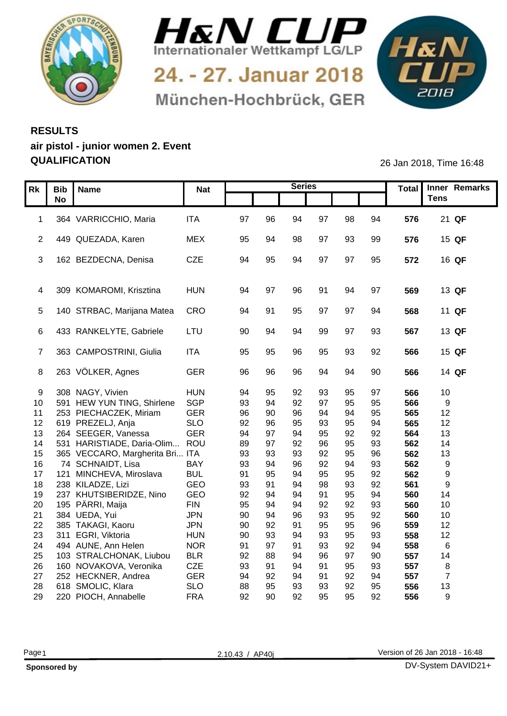



24. - 27. Januar 2018 München-Hochbrück, GER



## **RESULTS air pistol - junior women 2. Event QUALIFICATION** 26 Jan 2018, Time 16:48

| Rk   Bib   Name                    | <b>Nat</b> |     |     | <b>Series</b> |    |                |    |     | Total Inner Remarks |
|------------------------------------|------------|-----|-----|---------------|----|----------------|----|-----|---------------------|
| <b>No</b>                          |            |     |     |               |    |                |    |     | <b>Tens</b>         |
|                                    |            |     |     |               |    |                |    |     |                     |
| 1 364 VARRICCHIO, Maria            | <b>ITA</b> | 97  | 96  | 94            | 97 | 98             | 94 | 576 | 21 QF               |
|                                    |            |     |     |               |    |                |    |     |                     |
| 2 449 QUEZADA, Karen               | <b>MEX</b> | 95  | 94  | 98            | 97 | 93             | 99 | 576 | 15 QF               |
|                                    |            |     |     |               |    |                |    |     |                     |
| 3 162 BEZDECNA, Denisa             | CZE        | 94  | 95  | 94            | 97 | 97             | 95 | 572 | 16 QF               |
|                                    |            |     |     |               |    |                |    |     |                     |
| 4 309 KOMAROMI, Krisztina          | <b>HUN</b> | -94 |     | 96            | 91 | 94             | 97 |     | 13 QF               |
|                                    |            |     |     |               |    |                |    | 569 |                     |
| 5 140 STRBAC, Marijana Matea CRO   |            | 94  |     | 95            | 97 | 97             | 94 | 568 | 11 QF               |
|                                    |            |     |     |               |    |                |    |     |                     |
| 6 433 RANKELYTE, Gabriele          | LTU        | 90  | 94  | 94            | 99 | 97             | 93 | 567 | 13 QF               |
|                                    |            |     |     |               |    |                |    |     |                     |
| 7 363 CAMPOSTRINI, Giulia          | <b>ITA</b> | 95  | 95  | 96            | 95 | 93             | 92 | 566 | 15 QF               |
|                                    |            |     |     |               |    |                |    |     |                     |
| 8 263 VÖLKER, Agnes                | GER        | 96  | 96  | 96            | 94 | 94             | 90 | 566 | 14 QF               |
|                                    |            |     |     |               |    |                |    |     |                     |
| 9 308 NAGY, Vivien                 | <b>HUN</b> | .94 | -95 |               | 93 |                | 97 | 566 | 10                  |
| 10 591 HEW YUN TING, Shirlene      | SGP        | 93  | 94  | 92            | 97 | 95             | 95 | 566 | 9                   |
| 11 253 PIECHACZEK, Miriam          | <b>GER</b> | 96  | 90  | 96            | 94 | 94             | 95 | 565 | 12                  |
| 12 619 PREZELJ, Anja               | <b>SLO</b> | 92  | 96  | 95            | 93 | 95             | 94 | 565 | 12                  |
| 13 264 SEEGER, Vanessa             | <b>GER</b> | 94  |     |               | 95 | 92             | 92 | 564 | 13                  |
| 14 531 HARISTIADE, Daria-Olim      | ROU        | 89  | -97 | 92            | 96 | 95             | 93 | 562 | 14                  |
| 15 365 VECCARO, Margherita Bri ITA |            | 93  | 93  | 93            | 92 | 95             | 96 | 562 | 13                  |
| 16 74 SCHNAIDT, Lisa               | <b>BAY</b> | 93  | 94  | 96            | 92 | 94             | 93 | 562 | - 9                 |
| 17 121 MINCHEVA, Miroslava         | <b>BUL</b> | 91  | 95  |               | 95 | 95             | 92 | 562 | - 9                 |
| 18 238 KILADZE, Lizi               | GEO        | 93  |     |               | 98 | 93             | 92 | 561 | $\mathsf{Q}$        |
| 19 237 KHUTSIBERIDZE, Nino         | GEO        | 92  |     |               | 91 | 95             | 94 | 560 | 14                  |
| 20 195 PÄRRI, Maija                | <b>FIN</b> | 95  |     |               | 92 | 92             | 93 | 560 | 10                  |
| 21 384 UEDA, Yui                   | <b>JPN</b> | 90  | -94 | 96            | 93 | 95             | 92 | 560 | 10 <sup>1</sup>     |
| 22 385 TAKAGI, Kaoru               | <b>JPN</b> | 90  | 92  | 91            | 95 | 95             | 96 | 559 | 12                  |
| 23 311 EGRI, Viktoria              | <b>HUN</b> | 90  | 93  |               | 93 | 95             | 93 | 558 | 12                  |
| 24 494 AUNE, Ann Helen             | <b>NOR</b> | 91  | 97  | ٩             | 93 | 92             | 94 | 558 | - 6                 |
| 25 103 STRALCHONAK, Liubou         | <b>BLR</b> | 92  | 88  | $Q_4$         | 96 | Q <sub>0</sub> | 90 | 557 | 14                  |
| 26 160 NOVAKOVA, Veronika          | CZE        | 93  |     | 94            | 91 | 95             | 93 | 557 | -8                  |
| 27 252 HECKNER, Andrea             | <b>GER</b> | 94  | 92  |               | 91 | 92             | 94 | 557 | - 7                 |
| 28 618 SMOLIC, Klara               | <b>SLO</b> | 88  |     |               | 93 |                | 95 | 556 | 13                  |
| 29 220 PIOCH, Annabelle            | <b>FRA</b> | 92  | 90  | 92            | 95 | 95             | 92 | 556 | <b>Q</b>            |